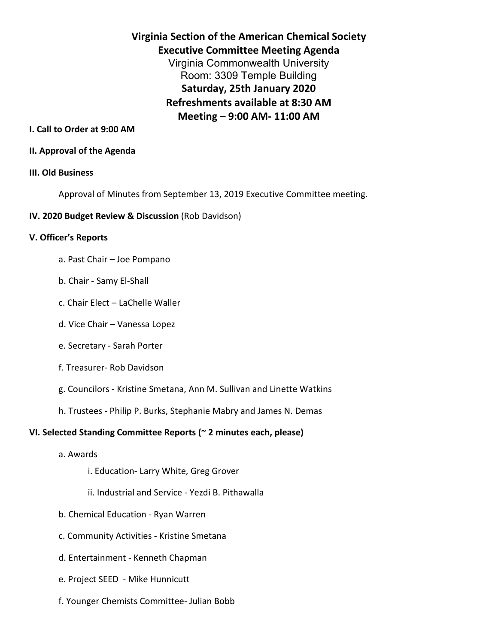**Virginia Section of the American Chemical Society Executive Committee Meeting Agenda** Virginia Commonwealth University Room: 3309 Temple Building **Saturday, 25th January 2020 Refreshments available at 8:30 AM Meeting – 9:00 AM- 11:00 AM**

### **I. Call to Order at 9:00 AM**

#### **II. Approval of the Agenda**

#### **III. Old Business**

Approval of Minutes from September 13, 2019 Executive Committee meeting.

#### **IV. 2020 Budget Review & Discussion** (Rob Davidson)

#### **V. Officer's Reports**

- a. Past Chair Joe Pompano
- b. Chair Samy El-Shall
- c. Chair Elect LaChelle Waller
- d. Vice Chair Vanessa Lopez
- e. Secretary Sarah Porter
- f. Treasurer- Rob Davidson
- g. Councilors Kristine Smetana, Ann M. Sullivan and Linette Watkins
- h. Trustees Philip P. Burks, Stephanie Mabry and James N. Demas

## **VI. Selected Standing Committee Reports (~ 2 minutes each, please)**

- a. Awards
	- i. Education- Larry White, Greg Grover
	- ii. Industrial and Service Yezdi B. Pithawalla
- b. Chemical Education Ryan Warren
- c. Community Activities Kristine Smetana
- d. Entertainment Kenneth Chapman
- e. Project SEED Mike Hunnicutt
- f. Younger Chemists Committee- Julian Bobb